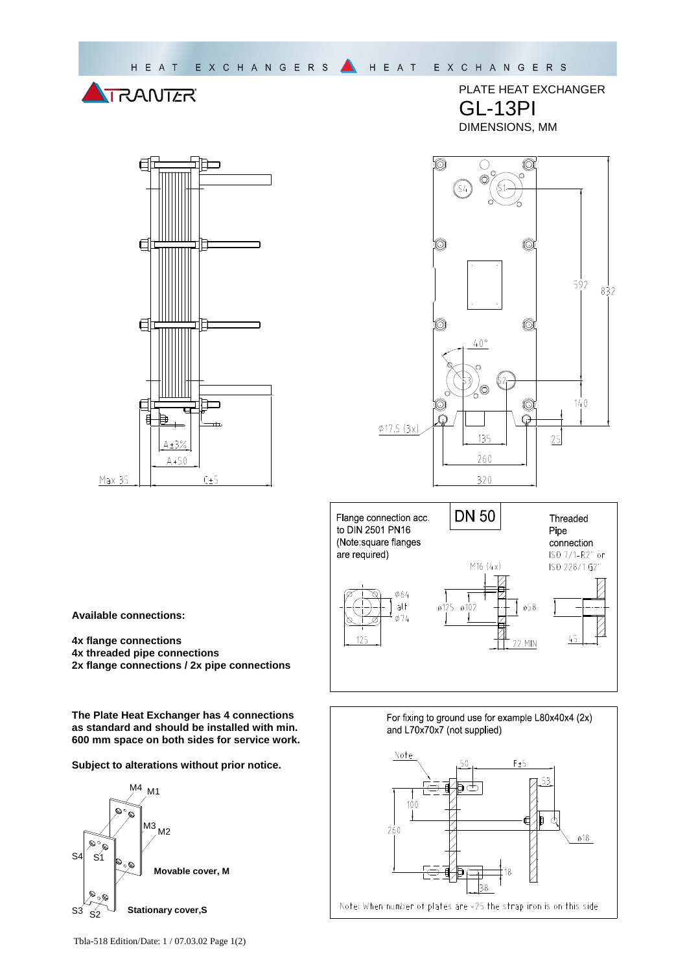



PLATE HEAT EXCHANGER GL-13PI DIMENSIONS, MM





**Available connections:** 

- **4x flange connections**
- **4x threaded pipe connections**
- **2x flange connections / 2x pipe connections**

**The Plate Heat Exchanger has 4 connections as standard and should be installed with min. 600 mm space on both sides for service work.** 

**Subject to alterations without prior notice.**